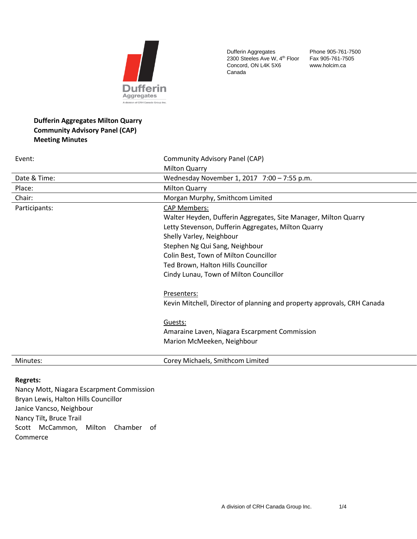

Dufferin Aggregates 2300 Steeles Ave W, 4<sup>th</sup> Floor Concord, ON L4K 5X6 Canada

Phone 905-761-7500 Fax 905-761-7505 www.holcim.ca

# **Dufferin Aggregates Milton Quarry Community Advisory Panel (CAP) Meeting Minutes**

| Event:        | Community Advisory Panel (CAP)                                          |
|---------------|-------------------------------------------------------------------------|
|               | <b>Milton Quarry</b>                                                    |
| Date & Time:  | Wednesday November 1, 2017 7:00 - 7:55 p.m.                             |
| Place:        | <b>Milton Quarry</b>                                                    |
| Chair:        | Morgan Murphy, Smithcom Limited                                         |
| Participants: | <b>CAP Members:</b>                                                     |
|               | Walter Heyden, Dufferin Aggregates, Site Manager, Milton Quarry         |
|               | Letty Stevenson, Dufferin Aggregates, Milton Quarry                     |
|               | Shelly Varley, Neighbour                                                |
|               | Stephen Ng Qui Sang, Neighbour                                          |
|               | Colin Best, Town of Milton Councillor                                   |
|               | Ted Brown, Halton Hills Councillor                                      |
|               | Cindy Lunau, Town of Milton Councillor                                  |
|               | Presenters:                                                             |
|               | Kevin Mitchell, Director of planning and property approvals, CRH Canada |
|               | Guests:                                                                 |
|               | Amaraine Laven, Niagara Escarpment Commission                           |
|               | Marion McMeeken, Neighbour                                              |
| Minutes:      | Corey Michaels, Smithcom Limited                                        |

## **Regrets:**

Nancy Mott, Niagara Escarpment Commission Bryan Lewis, Halton Hills Councillor Janice Vancso, Neighbour Nancy Tilt**,** Bruce Trail Scott McCammon, Milton Chamber of Commerce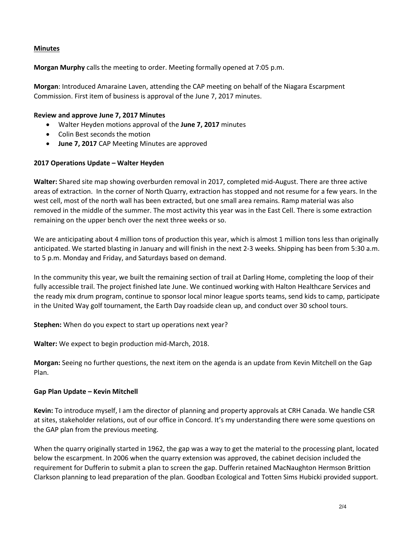## **Minutes**

**Morgan Murphy** calls the meeting to order. Meeting formally opened at 7:05 p.m.

**Morgan**: Introduced Amaraine Laven, attending the CAP meeting on behalf of the Niagara Escarpment Commission. First item of business is approval of the June 7, 2017 minutes.

#### **Review and approve June 7, 2017 Minutes**

- Walter Heyden motions approval of the **June 7, 2017** minutes
- Colin Best seconds the motion
- **June 7, 2017** CAP Meeting Minutes are approved

#### **2017 Operations Update – Walter Heyden**

**Walter:** Shared site map showing overburden removal in 2017, completed mid-August. There are three active areas of extraction. In the corner of North Quarry, extraction has stopped and not resume for a few years. In the west cell, most of the north wall has been extracted, but one small area remains. Ramp material was also removed in the middle of the summer. The most activity this year was in the East Cell. There is some extraction remaining on the upper bench over the next three weeks or so.

We are anticipating about 4 million tons of production this year, which is almost 1 million tons less than originally anticipated. We started blasting in January and will finish in the next 2-3 weeks. Shipping has been from 5:30 a.m. to 5 p.m. Monday and Friday, and Saturdays based on demand.

In the community this year, we built the remaining section of trail at Darling Home, completing the loop of their fully accessible trail. The project finished late June. We continued working with Halton Healthcare Services and the ready mix drum program, continue to sponsor local minor league sports teams, send kids to camp, participate in the United Way golf tournament, the Earth Day roadside clean up, and conduct over 30 school tours.

**Stephen:** When do you expect to start up operations next year?

**Walter:** We expect to begin production mid-March, 2018.

**Morgan:** Seeing no further questions, the next item on the agenda is an update from Kevin Mitchell on the Gap Plan.

#### **Gap Plan Update – Kevin Mitchell**

**Kevin:** To introduce myself, I am the director of planning and property approvals at CRH Canada. We handle CSR at sites, stakeholder relations, out of our office in Concord. It's my understanding there were some questions on the GAP plan from the previous meeting.

When the quarry originally started in 1962, the gap was a way to get the material to the processing plant, located below the escarpment. In 2006 when the quarry extension was approved, the cabinet decision included the requirement for Dufferin to submit a plan to screen the gap. Dufferin retained MacNaughton Hermson Brittion Clarkson planning to lead preparation of the plan. Goodban Ecological and Totten Sims Hubicki provided support.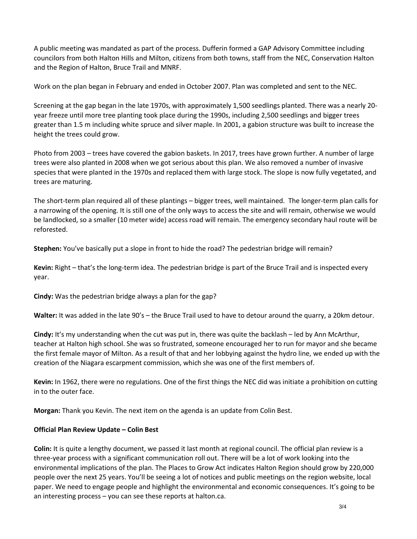A public meeting was mandated as part of the process. Dufferin formed a GAP Advisory Committee including councilors from both Halton Hills and Milton, citizens from both towns, staff from the NEC, Conservation Halton and the Region of Halton, Bruce Trail and MNRF.

Work on the plan began in February and ended in October 2007. Plan was completed and sent to the NEC.

Screening at the gap began in the late 1970s, with approximately 1,500 seedlings planted. There was a nearly 20 year freeze until more tree planting took place during the 1990s, including 2,500 seedlings and bigger trees greater than 1.5 m including white spruce and silver maple. In 2001, a gabion structure was built to increase the height the trees could grow.

Photo from 2003 – trees have covered the gabion baskets. In 2017, trees have grown further. A number of large trees were also planted in 2008 when we got serious about this plan. We also removed a number of invasive species that were planted in the 1970s and replaced them with large stock. The slope is now fully vegetated, and trees are maturing.

The short-term plan required all of these plantings – bigger trees, well maintained. The longer-term plan calls for a narrowing of the opening. It is still one of the only ways to access the site and will remain, otherwise we would be landlocked, so a smaller (10 meter wide) access road will remain. The emergency secondary haul route will be reforested.

**Stephen:** You've basically put a slope in front to hide the road? The pedestrian bridge will remain?

**Kevin:** Right – that's the long-term idea. The pedestrian bridge is part of the Bruce Trail and is inspected every year.

**Cindy:** Was the pedestrian bridge always a plan for the gap?

**Walter:** It was added in the late 90's – the Bruce Trail used to have to detour around the quarry, a 20km detour.

**Cindy:** It's my understanding when the cut was put in, there was quite the backlash – led by Ann McArthur, teacher at Halton high school. She was so frustrated, someone encouraged her to run for mayor and she became the first female mayor of Milton. As a result of that and her lobbying against the hydro line, we ended up with the creation of the Niagara escarpment commission, which she was one of the first members of.

**Kevin:** In 1962, there were no regulations. One of the first things the NEC did was initiate a prohibition on cutting in to the outer face.

**Morgan:** Thank you Kevin. The next item on the agenda is an update from Colin Best.

#### **Official Plan Review Update – Colin Best**

**Colin:** It is quite a lengthy document, we passed it last month at regional council. The official plan review is a three-year process with a significant communication roll out. There will be a lot of work looking into the environmental implications of the plan. The Places to Grow Act indicates Halton Region should grow by 220,000 people over the next 25 years. You'll be seeing a lot of notices and public meetings on the region website, local paper. We need to engage people and highlight the environmental and economic consequences. It's going to be an interesting process – you can see these reports at halton.ca.